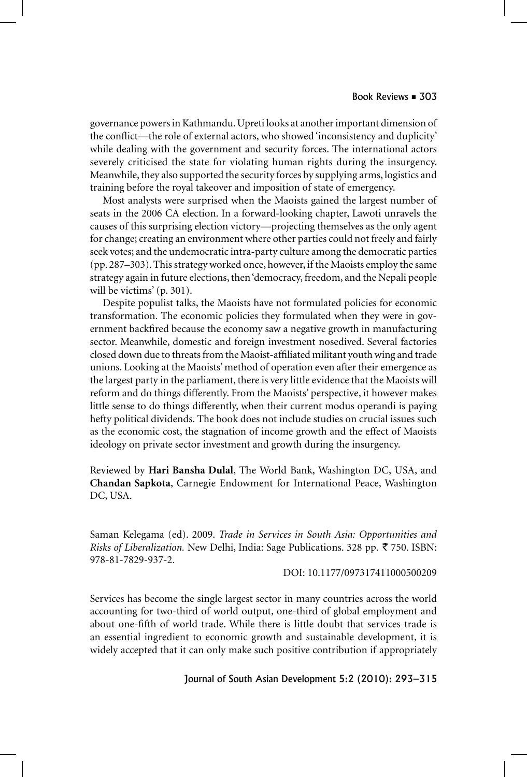governance powers in Kathmandu. Upreti looks at another important dimension of the conflict—the role of external actors, who showed 'inconsistency and duplicity' while dealing with the government and security forces. The international actors severely criticised the state for violating human rights during the insurgency. Meanwhile, they also supported the security forces by supplying arms, logistics and training before the royal takeover and imposition of state of emergency.

Most analysts were surprised when the Maoists gained the largest number of seats in the 2006 CA election. In a forward-looking chapter, Lawoti unravels the causes of this surprising election victory—projecting themselves as the only agent for change; creating an environment where other parties could not freely and fairly seek votes; and the undemocratic intra-party culture among the democratic parties (pp. 287–303). This strategy worked once, however, if the Maoists employ the same strategy again in future elections, then 'democracy, freedom, and the Nepali people will be victims' (p. 301).

Despite populist talks, the Maoists have not formulated policies for economic transformation. The economic policies they formulated when they were in government backfired because the economy saw a negative growth in manufacturing sector. Meanwhile, domestic and foreign investment nosedived. Several factories closed down due to threats from the Maoist-affiliated militant youth wing and trade unions. Looking at the Maoists' method of operation even after their emergence as the largest party in the parliament, there is very little evidence that the Maoists will reform and do things differently. From the Maoists' perspective, it however makes little sense to do things differently, when their current modus operandi is paying hefty political dividends. The book does not include studies on crucial issues such as the economic cost, the stagnation of income growth and the effect of Maoists ideology on private sector investment and growth during the insurgency.

Reviewed by **Hari Bansha Dulal**, The World Bank, Washington DC, USA, and **Chandan Sapkota**, Carnegie Endowment for International Peace, Washington DC, USA.

Saman Kelegama (ed). 2009. *Trade in Services in South Asia: Opportunities and Risks of Liberalization.* New Delhi, India: Sage Publications. 328 pp. ₹ 750. ISBN: 978-81-7829-937-2.

DOI: 10.1177/097317411000500209

Services has become the single largest sector in many countries across the world accounting for two-third of world output, one-third of global employment and about one-fifth of world trade. While there is little doubt that services trade is an essential ingredient to economic growth and sustainable development, it is widely accepted that it can only make such positive contribution if appropriately

Journal of South Asian Development 5:2 (2010): 293–315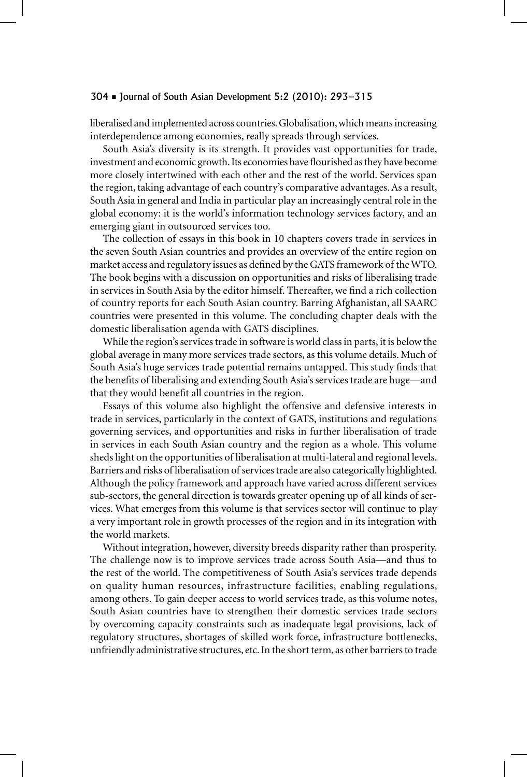## 304 Journal of South Asian Development 5:2 (2010): 293–315

liberalised and implemented across countries. Globalisation, which means increasing interdependence among economies, really spreads through services.

South Asia's diversity is its strength. It provides vast opportunities for trade, investment and economic growth. Its economies have flourished as they have become more closely intertwined with each other and the rest of the world. Services span the region, taking advantage of each country's comparative advantages. As a result, South Asia in general and India in particular play an increasingly central role in the global economy: it is the world's information technology services factory, and an emerging giant in outsourced services too.

The collection of essays in this book in 10 chapters covers trade in services in the seven South Asian countries and provides an overview of the entire region on market access and regulatory issues as defined by the GATS framework of the WTO. The book begins with a discussion on opportunities and risks of liberalising trade in services in South Asia by the editor himself. Thereafter, we find a rich collection of country reports for each South Asian country. Barring Afghanistan, all SAARC countries were presented in this volume. The concluding chapter deals with the domestic liberalisation agenda with GATS disciplines.

While the region's services trade in software is world class in parts, it is below the global average in many more services trade sectors, as this volume details. Much of South Asia's huge services trade potential remains untapped. This study finds that the benefits of liberalising and extending South Asia's services trade are huge—and that they would benefit all countries in the region.

Essays of this volume also highlight the offensive and defensive interests in trade in services, particularly in the context of GATS, institutions and regulations governing services, and opportunities and risks in further liberalisation of trade in services in each South Asian country and the region as a whole. This volume sheds light on the opportunities of liberalisation at multi-lateral and regional levels. Barriers and risks of liberalisation of services trade are also categorically highlighted. Although the policy framework and approach have varied across different services sub-sectors, the general direction is towards greater opening up of all kinds of services. What emerges from this volume is that services sector will continue to play a very important role in growth processes of the region and in its integration with the world markets.

Without integration, however, diversity breeds disparity rather than prosperity. The challenge now is to improve services trade across South Asia—and thus to the rest of the world. The competitiveness of South Asia's services trade depends on quality human resources, infrastructure facilities, enabling regulations, among others. To gain deeper access to world services trade, as this volume notes, South Asian countries have to strengthen their domestic services trade sectors by overcoming capacity constraints such as inadequate legal provisions, lack of regulatory structures, shortages of skilled work force, infrastructure bottlenecks, unfriendly administrative structures, etc. In the short term, as other barriers to trade